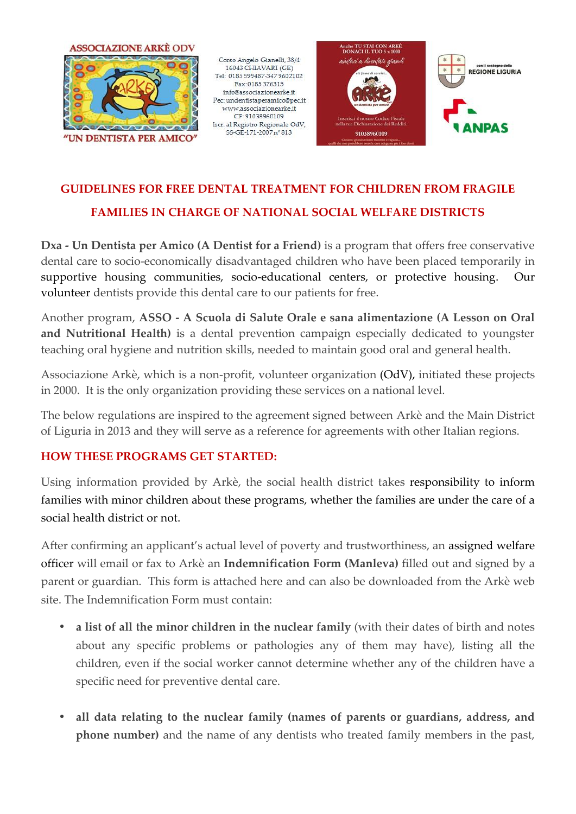

Corso Angelo Gianelli, 38/4 16043 CHIAVARI (GE) Tel: 0185 599487-347 9602102 Fax: 0185 376315 info@associazionearke.it Pec: undentistaperamico@pec.it  $\label{eq:www.associ} {\rm www.associazione}arke.it$ CF: 91038960109 Iscr. al Registro Regionale OdV, SS-GE-171-2007 n° 813





# **GUIDELINES FOR FREE DENTAL TREATMENT FOR CHILDREN FROM FRAGILE FORTREATMENT**

## **FAMILIES IN CHARGE OF NATIONAL SOCIAL WELFARE DISTRICTS**

**Dxa - Un Dentista per Amico (A Dentist for a Friend)** is a program that offers free conservative dental care to socio-economically disadvantaged children who have been placed temporarily in supportive housing communities, socio-educational centers, or protective housing. Our volunteer dentists provide this dental care to our patients for free. **FAMILIES IN CHARGE OF NATIONAL SOCIAL WELFARE DISTRICTS**<br>Un Dentista per Amico (A Dentist for a Friend) is a program that offers free conservative<br>l care to socio-economically disadvantaged children who have been placed t

**volunteer** dentists provide this dental care to our patients for free.<br>Another program, **ASSO - A Scuola di Salute Orale e sana aliment<mark>azione (A Lesson on Oral</mark>** and Nutritional Health) is a dental prevention campaign especially dedicated to youngster teaching oral hygiene and nutrition skills, needed to maintain good oral and general health.

Associazione Arkè, which is a non-profit, volunteer organization (OdV), initiated these projects<br>in 2000. It is the only organization providing these services on a national level. in 2000. It is the only organization providing these services on a national level.

The below regulations are inspired to the agreement signed between Arkè and the Main District of Liguria in 2013 and they will serve as a reference for agreements with other Italian regions.

### **HOW THESE PROGRAMS GET STARTED: GET STARTED:**

Using information provided by Arkè, the social health district takes responsibility to inform families with minor children about these programs, whether the families are under the care of a social health district or not.

After confirming an applicant's actual level of poverty and trustworthiness, an assigned welfare officer will email or fax to Arkè an **Indemnification Form (Manleva)** filled out and signed by a parent or guardian. This form is attached here and can also be downloaded from the Arkè web site. The Indemnification Form must contain: families with minor children about these programs, whether the families are under the care of a<br>social health district or not.<br>After confirming an applicant's actual level of poverty and trustworthiness, an assigned welf Iria in 2013 and they will serve as a reference for agre<br> **FHESE PROGRAMS GET STARTED:**<br>
information provided by Arkè, the social health d:<br>
s with minor children about these programs, whethe<br>
ealth district or not.<br>
onfir

- **a list of all the minor children in the nuclear family** (with their dates of birth and notes about any specific problems or pathologies any of them may have), listing all the children, even if the social worker cannot d about any specific problems or pathologies any of them may have), listing all the children, even if the social worker cannot determine whether any of the children have a specific need for preventive dental care.
- all data relating to the nuclear family (names of parents or guardians, address, and **phone number)** and the name of any dentists who treated family members in the past,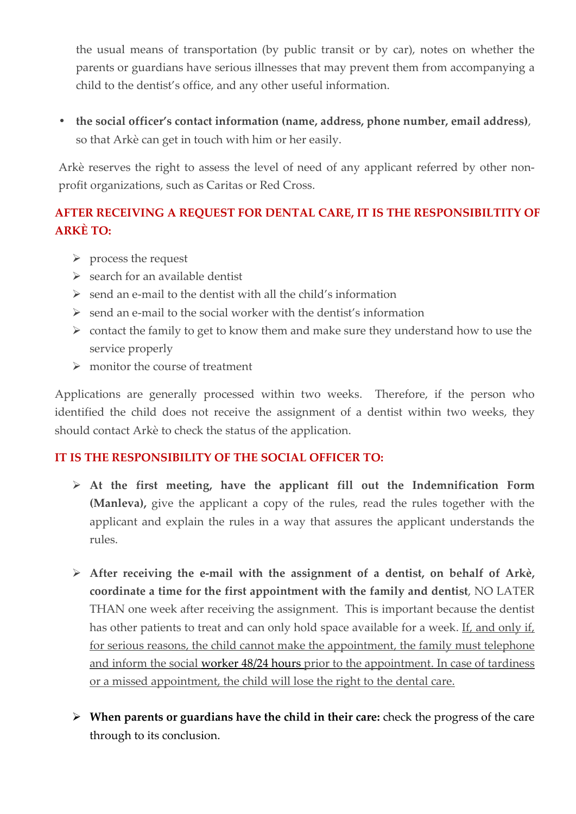the usual means of transportation (by public transit or by car), notes on whether the parents or guardians have serious illnesses that may prevent them from accompanying a child to the dentist's office, and any other useful information.

 **the social officer's contact information (name, address, phone number, email address)**, so that Arkè can get in touch with him or her easily.

Arkè reserves the right to assess the level of need of any applicant referred by other non profit organizations, such as Caritas or Red Cross.

## **AFTER RECEIVING A REQUEST FOR DENTAL CARE, IT IS THE RESPONSIBILTITY OF ARKÈ TO:**

- $\triangleright$  process the request
- $\triangleright$  search for an available dentist
- $\triangleright$  send an e-mail to the dentist with all the child's information
- $\triangleright$  send an e-mail to the social worker with the dentist's information
- $\triangleright$  contact the family to get to know them and make sure they understand how to use the service properly
- $\triangleright$  monitor the course of treatment

Applications are generally processed within two weeks. Therefore, if the person who identified the child does not receive the assignment of a dentist within two weeks, they should contact Arkè to check the status of the application.

### **IT IS THE RESPONSIBILITY OF THE SOCIAL OFFICER TO:**

- **At the first meeting, have the applicant fill out the Indemnification Form (Manleva),** give the applicant a copy of the rules, read the rules together with the applicant and explain the rules in a way that assures the applicant understands the rules.
- **After receiving the e-mail with the assignment of a dentist, on behalf of Arkè, coordinate a time for the first appointment with the family and dentist**, NO LATER THAN one week after receiving the assignment. This is important because the dentist has other patients to treat and can only hold space available for a week. If, and only if, for serious reasons, the child cannot make the appointment, the family must telephone and inform the social worker 48/24 hours prior to the appointment. In case of tardiness or a missed appointment, the child will lose the right to the dental care.
- **When parents or guardians have the child in their care:** check the progress of the care through to its conclusion.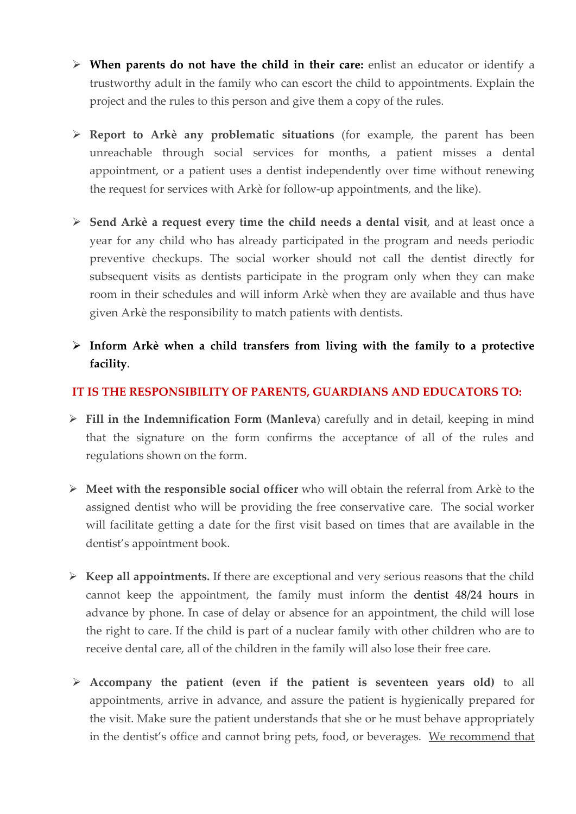- **When parents do not have the child in their care:** enlist an educator or identify a trustworthy adult in the family who can escort the child to appointments. Explain the project and the rules to this person and give them a copy of the rules.
- **Report to Arkè any problematic situations** (for example, the parent has been unreachable through social services for months, a patient misses a dental appointment, or a patient uses a dentist independently over time without renewing the request for services with Arkè for follow-up appointments, and the like).
- **Send Arkè a request every time the child needs a dental visit**, and at least once a year for any child who has already participated in the program and needs periodic preventive checkups. The social worker should not call the dentist directly for subsequent visits as dentists participate in the program only when they can make room in their schedules and will inform Arkè when they are available and thus have given Arkè the responsibility to match patients with dentists.
- **Inform Arkè when a child transfers from living with the family to a protective facility**.

#### **IT IS THE RESPONSIBILITY OF PARENTS, GUARDIANS AND EDUCATORS TO:**

- **Fill in the Indemnification Form (Manleva**) carefully and in detail, keeping in mind that the signature on the form confirms the acceptance of all of the rules and regulations shown on the form.
- **Meet with the responsible social officer** who will obtain the referral from Arkè to the assigned dentist who will be providing the free conservative care. The social worker will facilitate getting a date for the first visit based on times that are available in the dentist's appointment book.
- **Keep all appointments.** If there are exceptional and very serious reasons that the child cannot keep the appointment, the family must inform the dentist 48/24 hours in advance by phone. In case of delay or absence for an appointment, the child will lose the right to care. If the child is part of a nuclear family with other children who are to receive dental care, all of the children in the family will also lose their free care.
- **Accompany the patient (even if the patient is seventeen years old)** to all appointments, arrive in advance, and assure the patient is hygienically prepared for the visit. Make sure the patient understands that she or he must behave appropriately in the dentist's office and cannot bring pets, food, or beverages. We recommend that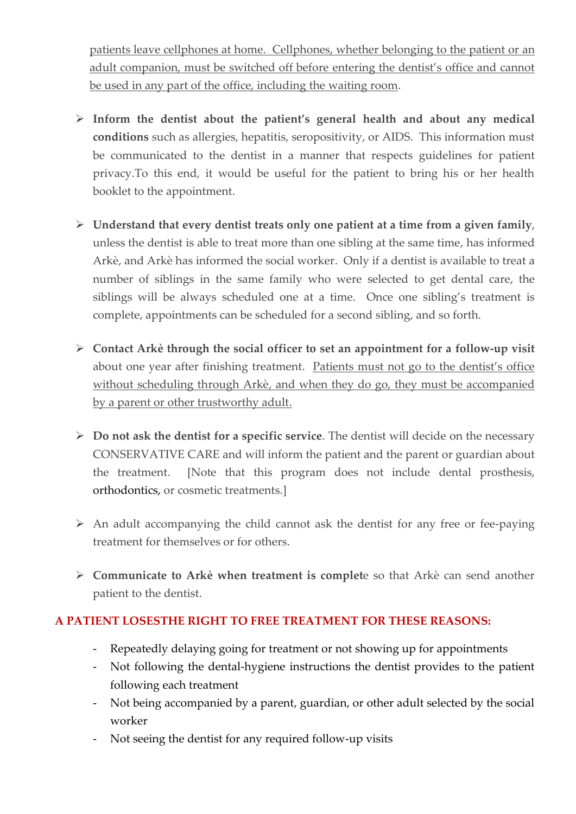patients leave cellphones at home. Cellphones, whether belonging to the patient or an adult companion, must be switched off before entering the dentist's office and cannot be used in any part of the office, including the waiting room.

- **Inform the dentist about the patient's general health and about any medical conditions** such as allergies, hepatitis, seropositivity, or AIDS. This information must be communicated to the dentist in a manner that respects guidelines for patient privacy.To this end, it would be useful for the patient to bring his or her health booklet to the appointment.
- **Understand that every dentist treats only one patient at a time from a given family**, unless the dentist is able to treat more than one sibling at the same time, has informed Arkè, and Arkè has informed the social worker. Only if a dentist is available to treat a number of siblings in the same family who were selected to get dental care, the siblings will be always scheduled one at a time. Once one sibling's treatment is complete, appointments can be scheduled for a second sibling, and so forth.
- **Contact Arkè through the social officer to set an appointment for a follow-up visit** about one year after finishing treatment. Patients must not go to the dentist's office without scheduling through Arkè, and when they do go, they must be accompanied by a parent or other trustworthy adult.
- **Do not ask the dentist for a specific service**. The dentist will decide on the necessary CONSERVATIVE CARE and will inform the patient and the parent or guardian about the treatment. [Note that this program does not include dental prosthesis, orthodontics, or cosmetic treatments.]
- $\triangleright$  An adult accompanying the child cannot ask the dentist for any free or fee-paying treatment for themselves or for others.
- **Communicate to Arkè when treatment is complet**e so that Arkè can send another patient to the dentist.

### **A PATIENT LOSESTHE RIGHT TO FREE TREATMENT FOR THESE REASONS:**

- Repeatedly delaying going for treatment or not showing up for appointments
- Not following the dental-hygiene instructions the dentist provides to the patient following each treatment
- Not being accompanied by a parent, guardian, or other adult selected by the social worker
- Not seeing the dentist for any required follow-up visits